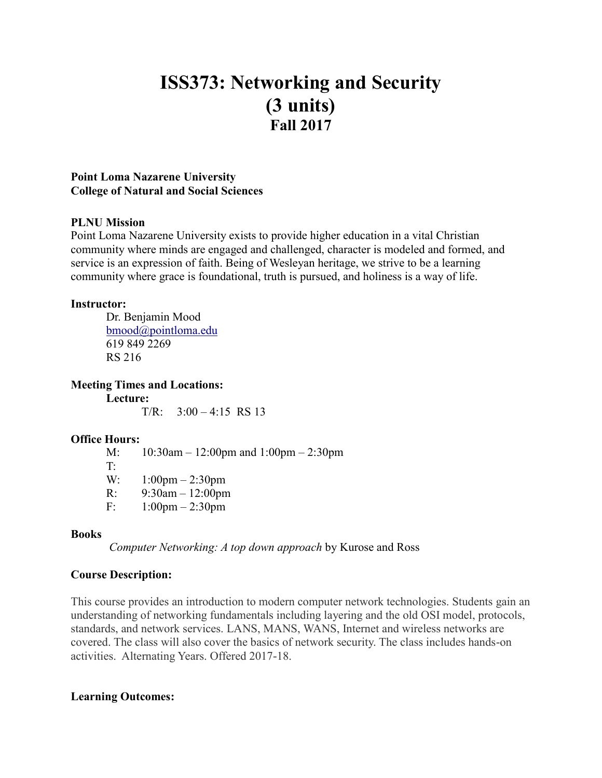# **ISS373: Networking and Security (3 units) Fall 2017**

#### **Point Loma Nazarene University College of Natural and Social Sciences**

## **PLNU Mission**

Point Loma Nazarene University exists to provide higher education in a vital Christian community where minds are engaged and challenged, character is modeled and formed, and service is an expression of faith. Being of Wesleyan heritage, we strive to be a learning community where grace is foundational, truth is pursued, and holiness is a way of life.

#### **Instructor:**

Dr. Benjamin Mood [bmood@pointloma.edu](mailto:bmood@pointloma.edu) 619 849 2269 RS 216

**Meeting Times and Locations:**

**Lecture:**  $T/R$ :  $3:00 - 4:15$  RS 13

#### **Office Hours:**

M: 10:30am – 12:00pm and 1:00pm – 2:30pm T: W: 1:00pm – 2:30pm R: 9:30am – 12:00pm F: 1:00pm – 2:30pm

#### **Books**

*Computer Networking: A top down approach* by Kurose and Ross

# **Course Description:**

This course provides an introduction to modern computer network technologies. Students gain an understanding of networking fundamentals including layering and the old OSI model, protocols, standards, and network services. LANS, MANS, WANS, Internet and wireless networks are covered. The class will also cover the basics of network security. The class includes hands-on activities. Alternating Years. Offered 2017-18.

# **Learning Outcomes:**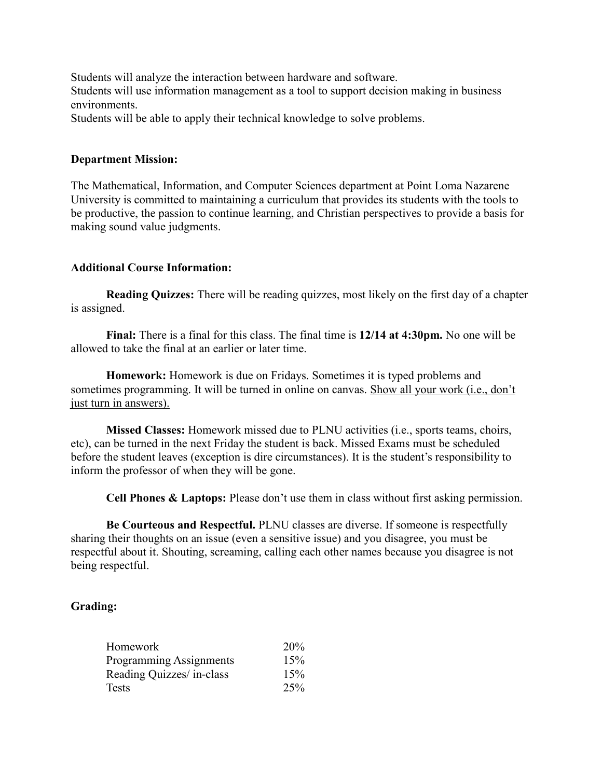Students will analyze the interaction between hardware and software. Students will use information management as a tool to support decision making in business environments.

Students will be able to apply their technical knowledge to solve problems.

#### **Department Mission:**

The Mathematical, Information, and Computer Sciences department at Point Loma Nazarene University is committed to maintaining a curriculum that provides its students with the tools to be productive, the passion to continue learning, and Christian perspectives to provide a basis for making sound value judgments.

#### **Additional Course Information:**

**Reading Quizzes:** There will be reading quizzes, most likely on the first day of a chapter is assigned.

**Final:** There is a final for this class. The final time is **12/14 at 4:30pm.** No one will be allowed to take the final at an earlier or later time.

**Homework:** Homework is due on Fridays. Sometimes it is typed problems and sometimes programming. It will be turned in online on canvas. Show all your work (i.e., don't just turn in answers).

**Missed Classes:** Homework missed due to PLNU activities (i.e., sports teams, choirs, etc), can be turned in the next Friday the student is back. Missed Exams must be scheduled before the student leaves (exception is dire circumstances). It is the student's responsibility to inform the professor of when they will be gone.

**Cell Phones & Laptops:** Please don't use them in class without first asking permission.

**Be Courteous and Respectful.** PLNU classes are diverse. If someone is respectfully sharing their thoughts on an issue (even a sensitive issue) and you disagree, you must be respectful about it. Shouting, screaming, calling each other names because you disagree is not being respectful.

#### **Grading:**

| Homework                       | 20% |
|--------------------------------|-----|
| <b>Programming Assignments</b> | 15% |
| Reading Quizzes/ in-class      | 15% |
| Tests                          | 25% |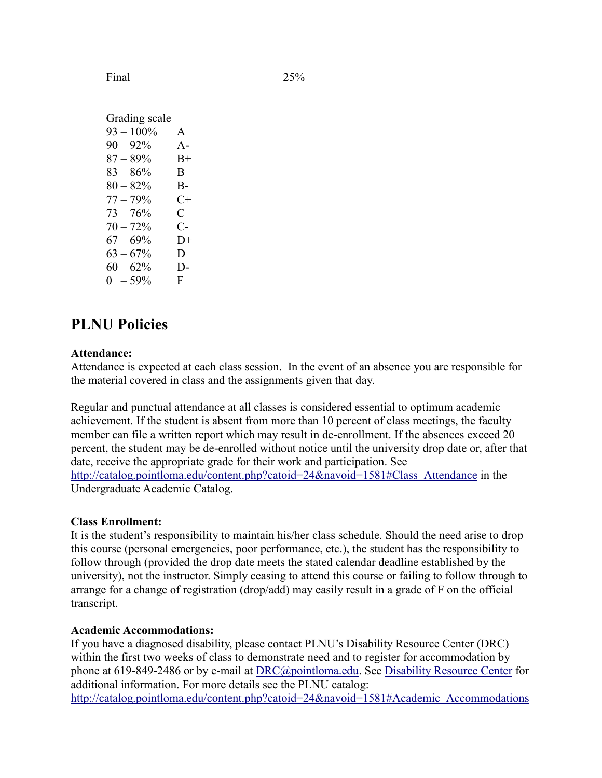Final 25%

Grading scale  $93 - 100\%$  A  $90 - 92\%$  A- $87 - 89\%$  B+  $83 - 86\%$  B  $80 - 82\%$  B- $77 - 79\%$  C+  $73 - 76\%$  C  $70 - 72\%$  C- $67 - 69\%$  D+  $63 - 67\%$  D  $60 - 62\%$  D- $0 - 59\%$  F

# **PLNU Policies**

#### **Attendance:**

Attendance is expected at each class session. In the event of an absence you are responsible for the material covered in class and the assignments given that day.

Regular and punctual attendance at all classes is considered essential to optimum academic achievement. If the student is absent from more than 10 percent of class meetings, the faculty member can file a written report which may result in de-enrollment. If the absences exceed 20 percent, the student may be de-enrolled without notice until the university drop date or, after that date, receive the appropriate grade for their work and participation. See [http://catalog.pointloma.edu/content.php?catoid=24&navoid=1581#Class\\_Attendance](http://catalog.pointloma.edu/content.php?catoid=24&navoid=1581#Class_Attendance) in the Undergraduate Academic Catalog.

#### **Class Enrollment:**

It is the student's responsibility to maintain his/her class schedule. Should the need arise to drop this course (personal emergencies, poor performance, etc.), the student has the responsibility to follow through (provided the drop date meets the stated calendar deadline established by the university), not the instructor. Simply ceasing to attend this course or failing to follow through to arrange for a change of registration (drop/add) may easily result in a grade of F on the official transcript.

#### **Academic Accommodations:**

If you have a diagnosed disability, please contact PLNU's Disability Resource Center (DRC) within the first two weeks of class to demonstrate need and to register for accommodation by phone at 619-849-2486 or by e-mail at [DRC@pointloma.edu.](mailto:DRC@pointloma.edu) See [Disability Resource Center](http://www.pointloma.edu/experience/offices/administrative-offices/academic-advising-office/disability-resource-center) for additional information. For more details see the PLNU catalog: http://catalog.pointloma.edu/content.php?catoid=24&navoid=1581#Academic\_Accommodations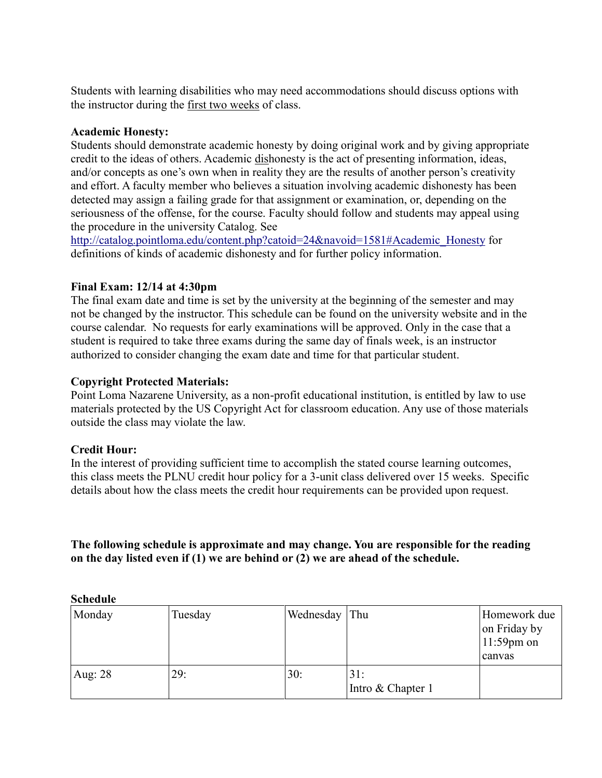Students with learning disabilities who may need accommodations should discuss options with the instructor during the first two weeks of class.

#### **Academic Honesty:**

Students should demonstrate academic honesty by doing original work and by giving appropriate credit to the ideas of others. Academic dishonesty is the act of presenting information, ideas, and/or concepts as one's own when in reality they are the results of another person's creativity and effort. A faculty member who believes a situation involving academic dishonesty has been detected may assign a failing grade for that assignment or examination, or, depending on the seriousness of the offense, for the course. Faculty should follow and students may appeal using the procedure in the university Catalog. See

[http://catalog.pointloma.edu/content.php?catoid=24&navoid=1581#Academic\\_Honesty](http://catalog.pointloma.edu/content.php?catoid=24&navoid=1581#Academic_Honesty) for definitions of kinds of academic dishonesty and for further policy information.

## **Final Exam: 12/14 at 4:30pm**

The final exam date and time is set by the university at the beginning of the semester and may not be changed by the instructor. This schedule can be found on the university website and in the course calendar. No requests for early examinations will be approved. Only in the case that a student is required to take three exams during the same day of finals week, is an instructor authorized to consider changing the exam date and time for that particular student.

## **Copyright Protected Materials:**

Point Loma Nazarene University, as a non-profit educational institution, is entitled by law to use materials protected by the US Copyright Act for classroom education. Any use of those materials outside the class may violate the law.

#### **Credit Hour:**

In the interest of providing sufficient time to accomplish the stated course learning outcomes, this class meets the PLNU credit hour policy for a 3-unit class delivered over 15 weeks. Specific details about how the class meets the credit hour requirements can be provided upon request.

**The following schedule is approximate and may change. You are responsible for the reading on the day listed even if (1) we are behind or (2) we are ahead of the schedule.**

| Monday  | Tuesday | Wednesday Thu |                          | Homework due<br>on Friday by<br>$11:59$ pm on |
|---------|---------|---------------|--------------------------|-----------------------------------------------|
|         |         |               |                          | canvas                                        |
| Aug: 28 | 29:     | 30:           | 31:<br>Intro & Chapter 1 |                                               |

**Schedule**